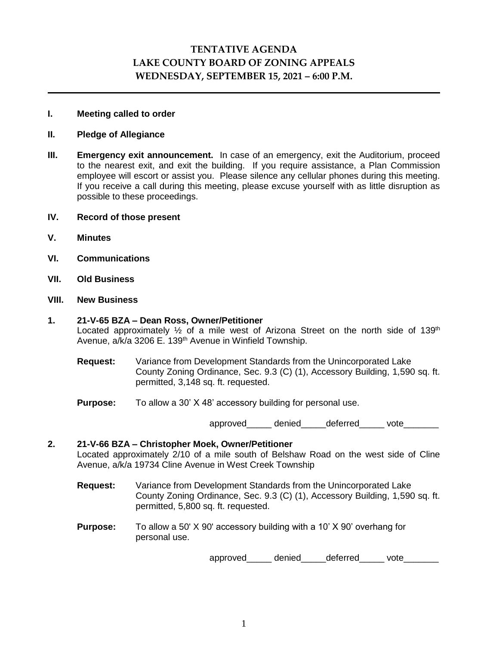# **TENTATIVE AGENDA LAKE COUNTY BOARD OF ZONING APPEALS WEDNESDAY, SEPTEMBER 15, 2021 – 6:00 P.M.**

### **I. Meeting called to order**

### **II. Pledge of Allegiance**

- **III. Emergency exit announcement.** In case of an emergency, exit the Auditorium, proceed to the nearest exit, and exit the building. If you require assistance, a Plan Commission employee will escort or assist you. Please silence any cellular phones during this meeting. If you receive a call during this meeting, please excuse yourself with as little disruption as possible to these proceedings.
- **IV. Record of those present**
- **V. Minutes**
- **VI. Communications**
- **VII. Old Business**

### **VIII. New Business**

### **1. 21-V-65 BZA – Dean Ross, Owner/Petitioner**

Located approximately  $\frac{1}{2}$  of a mile west of Arizona Street on the north side of 139<sup>th</sup> Avenue, a/k/a 3206 E. 139<sup>th</sup> Avenue in Winfield Township.

- **Request:** Variance from Development Standards from the Unincorporated Lake County Zoning Ordinance, Sec. 9.3 (C) (1), Accessory Building, 1,590 sq. ft. permitted, 3,148 sq. ft. requested.
- **Purpose:** To allow a 30' X 48' accessory building for personal use.

approved denied deferred vote

## **2. 21-V-66 BZA – Christopher Moek, Owner/Petitioner** Located approximately 2/10 of a mile south of Belshaw Road on the west side of Cline Avenue, a/k/a 19734 Cline Avenue in West Creek Township

- **Request:** Variance from Development Standards from the Unincorporated Lake County Zoning Ordinance, Sec. 9.3 (C) (1), Accessory Building, 1,590 sq. ft. permitted, 5,800 sq. ft. requested.
- **Purpose:** To allow a 50' X 90' accessory building with a 10' X 90' overhang for personal use.

approved denied deferred vote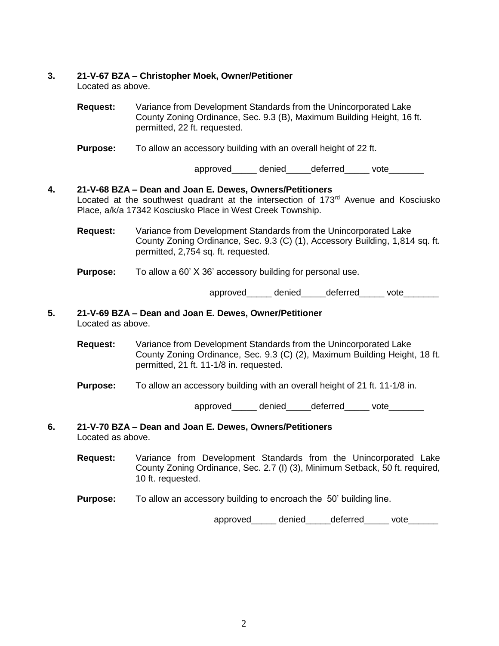### **3. 21-V-67 BZA – Christopher Moek, Owner/Petitioner**

Located as above.

**Request:** Variance from Development Standards from the Unincorporated Lake County Zoning Ordinance, Sec. 9.3 (B), Maximum Building Height, 16 ft. permitted, 22 ft. requested.

**Purpose:** To allow an accessory building with an overall height of 22 ft.

approved denied deferred vote

# **4. 21-V-68 BZA – Dean and Joan E. Dewes, Owners/Petitioners** Located at the southwest quadrant at the intersection of 173<sup>rd</sup> Avenue and Kosciusko Place, a/k/a 17342 Kosciusko Place in West Creek Township.

**Request:** Variance from Development Standards from the Unincorporated Lake County Zoning Ordinance, Sec. 9.3 (C) (1), Accessory Building, 1,814 sq. ft. permitted, 2,754 sq. ft. requested.

**Purpose:** To allow a 60' X 36' accessory building for personal use.

approved denied deferred vote

### **5. 21-V-69 BZA – Dean and Joan E. Dewes, Owner/Petitioner** Located as above.

- **Request:** Variance from Development Standards from the Unincorporated Lake County Zoning Ordinance, Sec. 9.3 (C) (2), Maximum Building Height, 18 ft. permitted, 21 ft. 11-1/8 in. requested.
- **Purpose:** To allow an accessory building with an overall height of 21 ft. 11-1/8 in.

approved denied deferred vote

### **6. 21-V-70 BZA – Dean and Joan E. Dewes, Owners/Petitioners** Located as above.

- **Request:** Variance from Development Standards from the Unincorporated Lake County Zoning Ordinance, Sec. 2.7 (I) (3), Minimum Setback, 50 ft. required, 10 ft. requested.
- **Purpose:** To allow an accessory building to encroach the 50' building line.

approved\_\_\_\_\_\_ denied\_\_\_\_\_deferred\_\_\_\_\_ vote\_\_\_\_\_\_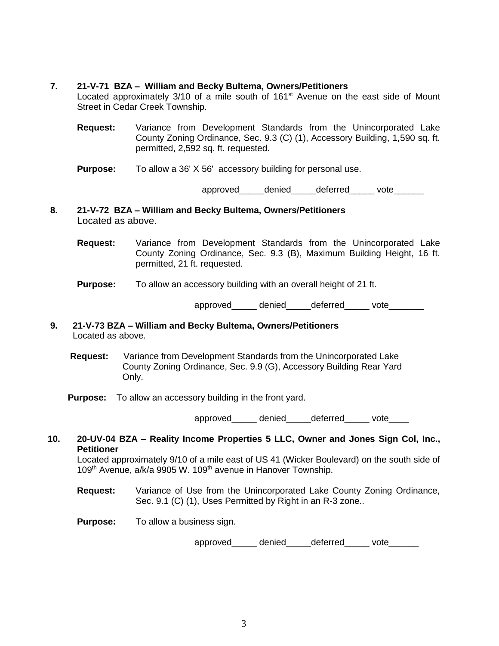### **7. 21-V-71 BZA – William and Becky Bultema, Owners/Petitioners**

Located approximately 3/10 of a mile south of 161<sup>st</sup> Avenue on the east side of Mount Street in Cedar Creek Township.

- **Request:** Variance from Development Standards from the Unincorporated Lake County Zoning Ordinance, Sec. 9.3 (C) (1), Accessory Building, 1,590 sq. ft. permitted, 2,592 sq. ft. requested.
- **Purpose:** To allow a 36' X 56' accessory building for personal use.

approved denied deferred vote

- **8. 21-V-72 BZA – William and Becky Bultema, Owners/Petitioners** Located as above.
	- **Request:** Variance from Development Standards from the Unincorporated Lake County Zoning Ordinance, Sec. 9.3 (B), Maximum Building Height, 16 ft. permitted, 21 ft. requested.

#### **Purpose:** To allow an accessory building with an overall height of 21 ft.

approved\_\_\_\_\_\_ denied\_\_\_\_\_ deferred\_\_\_\_\_\_ vote\_\_\_\_\_\_\_

- **9. 21-V-73 BZA – William and Becky Bultema, Owners/Petitioners** Located as above.
	- **Request:** Variance from Development Standards from the Unincorporated Lake County Zoning Ordinance, Sec. 9.9 (G), Accessory Building Rear Yard Only.
	- **Purpose:** To allow an accessory building in the front yard.

approved\_\_\_\_\_\_ denied\_\_\_\_\_deferred vote

**10. 20-UV-04 BZA – Reality Income Properties 5 LLC, Owner and Jones Sign Col, Inc., Petitioner**

Located approximately 9/10 of a mile east of US 41 (Wicker Boulevard) on the south side of 109<sup>th</sup> Avenue, a/k/a 9905 W. 109<sup>th</sup> avenue in Hanover Township.

- **Request:** Variance of Use from the Unincorporated Lake County Zoning Ordinance, Sec. 9.1 (C) (1), Uses Permitted by Right in an R-3 zone..
- **Purpose:** To allow a business sign.

approved denied deferred vote